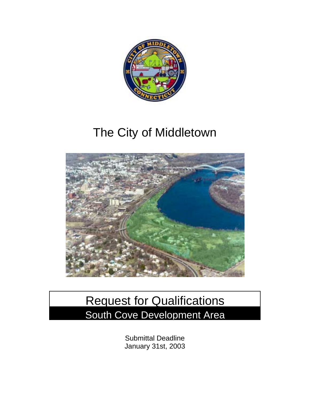

# The City of Middletown



# Request for Qualifications South Cove Development Area

Submittal Deadline January 31st, 2003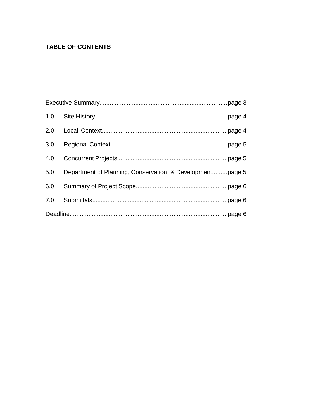## **TABLE OF CONTENTS**

| 1.0 |                                                           |  |
|-----|-----------------------------------------------------------|--|
| 2.0 |                                                           |  |
| 3.0 |                                                           |  |
| 4.0 |                                                           |  |
| 5.0 | Department of Planning, Conservation, & Developmentpage 5 |  |
| 6.0 |                                                           |  |
| 7.0 |                                                           |  |
|     |                                                           |  |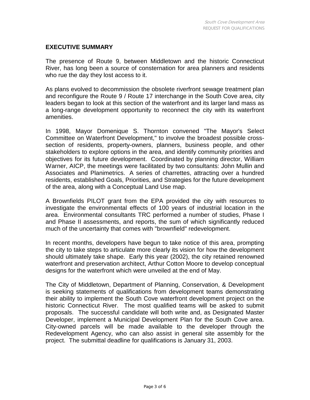#### **EXECUTIVE SUMMARY**

The presence of Route 9, between Middletown and the historic Connecticut River, has long been a source of consternation for area planners and residents who rue the day they lost access to it.

As plans evolved to decommission the obsolete riverfront sewage treatment plan and reconfigure the Route 9 / Route 17 interchange in the South Cove area, city leaders began to look at this section of the waterfront and its larger land mass as a long-range development opportunity to reconnect the city with its waterfront amenities.

In 1998, Mayor Domenique S. Thornton convened "The Mayor's Select Committee on Waterfront Development," to involve the broadest possible crosssection of residents, property-owners, planners, business people, and other stakeholders to explore options in the area, and identify community priorities and objectives for its future development. Coordinated by planning director, William Warner, AICP, the meetings were facilitated by two consultants: John Mullin and Associates and Planimetrics. A series of charrettes, attracting over a hundred residents, established Goals, Priorities, and Strategies for the future development of the area, along with a Conceptual Land Use map.

A Brownfields PILOT grant from the EPA provided the city with resources to investigate the environmental effects of 100 years of industrial location in the area. Environmental consultants TRC performed a number of studies, Phase I and Phase II assessments, and reports, the sum of which significantly reduced much of the uncertainty that comes with "brownfield" redevelopment.

In recent months, developers have begun to take notice of this area, prompting the city to take steps to articulate more clearly its vision for how the development should ultimately take shape. Early this year (2002), the city retained renowned waterfront and preservation architect, Arthur Cotton Moore to develop conceptual designs for the waterfront which were unveiled at the end of May.

The City of Middletown, Department of Planning, Conservation, & Development is seeking statements of qualifications from development teams demonstrating their ability to implement the South Cove waterfront development project on the historic Connecticut River. The most qualified teams will be asked to submit proposals. The successful candidate will both write and, as Designated Master Developer, implement a Municipal Development Plan for the South Cove area. City-owned parcels will be made available to the developer through the Redevelopment Agency, who can also assist in general site assembly for the project. The submittal deadline for qualifications is January 31, 2003.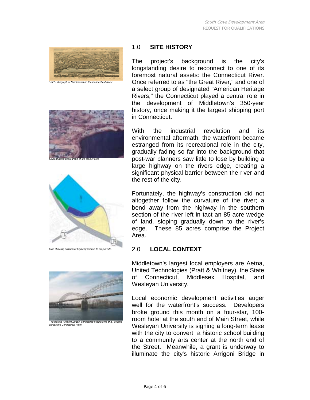



*Current aerial photograph of the project area* 





*acks the Connecticut River.* 

### 1.0 **SITE HISTORY**

The project's background is the city's longstanding desire to reconnect to one of its foremost natural assets: the Connecticut River. Once referred to as "the Great River," and one of a select group of designated "American Heritage Rivers," the Connecticut played a central role in the development of Middletown's 350-year history, once making it the largest shipping port in Connecticut.

With the industrial revolution and its environmental aftermath, the waterfront became estranged from its recreational role in the city, gradually fading so far into the background that post-war planners saw little to lose by building a large highway on the rivers edge, creating a significant physical barrier between the river and the rest of the city.

Fortunately, the highway's construction did not altogether follow the curvature of the river; a bend away from the highway in the southern section of the river left in tact an 85-acre wedge of land, sloping gradually down to the river's edge. These 85 acres comprise the Project Area.

#### 2.0 **LOCAL CONTEXT**

Middletown's largest local employers are Aetna, United Technologies (Pratt & Whitney), the State of Connecticut, Middlesex Hospital, and Wesleyan University.

Local economic development activities auger well for the waterfront's success. Developers broke ground this month on a four-star, 100 room hotel at the south end of Main Street, while Wesleyan University is signing a long-term lease with the city to convert a historic school building to a community arts center at the north end of the Street. Meanwhile, a grant is underway to illuminate the city's historic Arrigoni Bridge in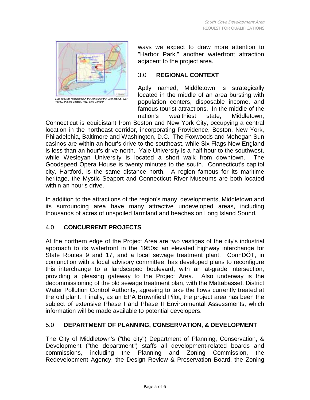

*Map showing Middletown in the context of the Connecticut River Valley, and the Boston / New York Corridor.* 

ways we expect to draw more attention to "Harbor Park," another waterfront attraction adjacent to the project area.

#### 3.0 **REGIONAL CONTEXT**

Aptly named, Middletown is strategically located in the middle of an area bursting with population centers, disposable income, and famous tourist attractions. In the middle of the nation's wealthiest state, Middletown,

Connecticut is equidistant from Boston and New York City, occupying a central location in the northeast corridor, incorporating Providence, Boston, New York, Philadelphia, Baltimore and Washington, D.C. The Foxwoods and Mohegan Sun casinos are within an hour's drive to the southeast, while Six Flags New England is less than an hour's drive north. Yale University is a half hour to the southwest, while Wesleyan University is located a short walk from downtown. The Goodspeed Opera House is twenty minutes to the south. Connecticut's capitol city, Hartford, is the same distance north. A region famous for its maritime heritage, the Mystic Seaport and Connecticut River Museums are both located within an hour's drive.

In addition to the attractions of the region's many developments, Middletown and its surrounding area have many attractive undeveloped areas, including thousands of acres of unspoiled farmland and beaches on Long Island Sound.

#### 4.0 **CONCURRENT PROJECTS**

At the northern edge of the Project Area are two vestiges of the city's industrial approach to its waterfront in the 1950s: an elevated highway interchange for State Routes 9 and 17, and a local sewage treatment plant. ConnDOT, in conjunction with a local advisory committee, has developed plans to reconfigure this interchange to a landscaped boulevard, with an at-grade intersection, providing a pleasing gateway to the Project Area. Also underway is the decommissioning of the old sewage treatment plan, with the Mattabassett District Water Pollution Control Authority, agreeing to take the flows currently treated at the old plant. Finally, as an EPA Brownfield Pilot, the project area has been the subject of extensive Phase I and Phase II Environmental Assessments, which information will be made available to potential developers.

#### 5.0 **DEPARTMENT OF PLANNING, CONSERVATION, & DEVELOPMENT**

The City of Middletown's ("the city") Department of Planning, Conservation, & Development ("the department") staffs all development-related boards and commissions, including the Planning and Zoning Commission, the Redevelopment Agency, the Design Review & Preservation Board, the Zoning